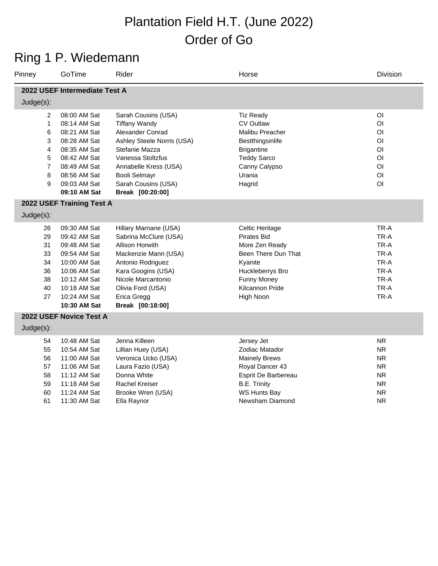# Ring 1 P. Wiedemann

| Pinney                                                            | GoTime                                                                                                                                                       | Rider                                                                                                                                                                                                                            | Horse                                                                                                                                                               | <b>Division</b>                                                                                                                                                |
|-------------------------------------------------------------------|--------------------------------------------------------------------------------------------------------------------------------------------------------------|----------------------------------------------------------------------------------------------------------------------------------------------------------------------------------------------------------------------------------|---------------------------------------------------------------------------------------------------------------------------------------------------------------------|----------------------------------------------------------------------------------------------------------------------------------------------------------------|
|                                                                   | 2022 USEF Intermediate Test A                                                                                                                                |                                                                                                                                                                                                                                  |                                                                                                                                                                     |                                                                                                                                                                |
| Judge(s):                                                         |                                                                                                                                                              |                                                                                                                                                                                                                                  |                                                                                                                                                                     |                                                                                                                                                                |
| 2<br>$\mathbf{1}$<br>6<br>3<br>4<br>5<br>$\overline{7}$<br>8<br>9 | 08:00 AM Sat<br>08:14 AM Sat<br>08:21 AM Sat<br>08:28 AM Sat<br>08:35 AM Sat<br>08:42 AM Sat<br>08:49 AM Sat<br>08:56 AM Sat<br>09:03 AM Sat<br>09:10 AM Sat | Sarah Cousins (USA)<br><b>Tiffany Wandy</b><br>Alexander Conrad<br>Ashley Steele Norris (USA)<br>Stefanie Mazza<br>Vanessa Stoltzfus<br>Annabelle Kress (USA)<br><b>Booli Selmayr</b><br>Sarah Cousins (USA)<br>Break [00:20:00] | <b>Tiz Ready</b><br><b>CV Outlaw</b><br>Malibu Preacher<br>Bestthingsinlife<br><b>Brigantine</b><br><b>Teddy Sarco</b><br>Canny Calypso<br>Urania<br>Hagrid         | O <sub>1</sub><br>O <sub>1</sub><br>O <sub>1</sub><br>O <sub>1</sub><br>O <sub>1</sub><br>O <sub>1</sub><br>O <sub>l</sub><br>O <sub>1</sub><br>O <sub>1</sub> |
|                                                                   | 2022 USEF Training Test A                                                                                                                                    |                                                                                                                                                                                                                                  |                                                                                                                                                                     |                                                                                                                                                                |
| Judge(s):                                                         |                                                                                                                                                              |                                                                                                                                                                                                                                  |                                                                                                                                                                     |                                                                                                                                                                |
| 26<br>29<br>31<br>33<br>34<br>36<br>38<br>40<br>27                | 09:30 AM Sat<br>09:42 AM Sat<br>09:48 AM Sat<br>09:54 AM Sat<br>10:00 AM Sat<br>10:06 AM Sat<br>10:12 AM Sat<br>10:18 AM Sat<br>10:24 AM Sat<br>10:30 AM Sat | Hillary Marnane (USA)<br>Sabrina McClure (USA)<br>Allison Horwith<br>Mackenzie Mann (USA)<br>Antonio Rodriguez<br>Kara Googins (USA)<br>Nicole Marcantonio<br>Olivia Ford (USA)<br>Erica Gregg<br>Break [00:18:00]               | Celtic Heritage<br><b>Pirates Bid</b><br>More Zen Ready<br>Been There Dun That<br>Kyanite<br>Huckleberrys Bro<br><b>Funny Money</b><br>Kilcannon Pride<br>High Noon | TR-A<br>TR-A<br>TR-A<br>TR-A<br>TR-A<br>TR-A<br>TR-A<br>TR-A<br>TR-A                                                                                           |
|                                                                   | 2022 USEF Novice Test A                                                                                                                                      |                                                                                                                                                                                                                                  |                                                                                                                                                                     |                                                                                                                                                                |
| Judge(s):                                                         |                                                                                                                                                              |                                                                                                                                                                                                                                  |                                                                                                                                                                     |                                                                                                                                                                |
| 54<br>55<br>56<br>57<br>58<br>59                                  | 10:48 AM Sat<br>10:54 AM Sat<br>11:00 AM Sat<br>11:06 AM Sat<br>11:12 AM Sat<br>11:18 AM Sat                                                                 | Jenna Killeen<br>Lillian Huey (USA)<br>Veronica Ucko (USA)<br>Laura Fazio (USA)<br>Donna White<br><b>Rachel Kreiser</b>                                                                                                          | Jersey Jet<br>Zodiac Matador<br><b>Mainely Brews</b><br>Royal Dancer 43<br>Esprit De Barbereau<br><b>B.E. Trinity</b>                                               | <b>NR</b><br><b>NR</b><br><b>NR</b><br><b>NR</b><br><b>NR</b><br><b>NR</b>                                                                                     |
| 60<br>61                                                          | 11:24 AM Sat<br>11:30 AM Sat                                                                                                                                 | Brooke Wren (USA)<br>Ella Raynor                                                                                                                                                                                                 | <b>WS Hunts Bay</b><br>Newsham Diamond                                                                                                                              | <b>NR</b><br><b>NR</b>                                                                                                                                         |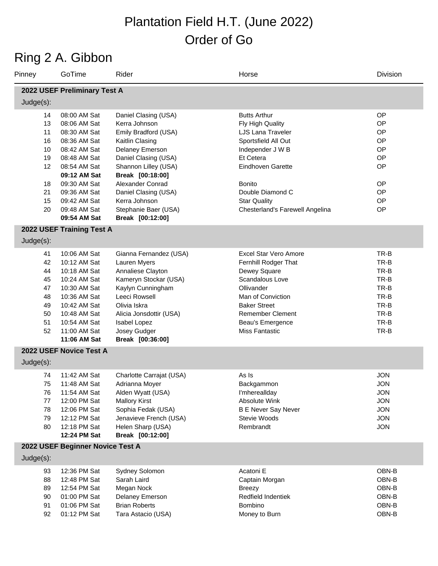## Ring 2 A. Gibbon

| Pinney                                                   | GoTime                                                                                                                                                                       | Rider                                                                                                                                                                                                                     | Horse                                                                                                                                                                                                              | <b>Division</b>                                                                                |
|----------------------------------------------------------|------------------------------------------------------------------------------------------------------------------------------------------------------------------------------|---------------------------------------------------------------------------------------------------------------------------------------------------------------------------------------------------------------------------|--------------------------------------------------------------------------------------------------------------------------------------------------------------------------------------------------------------------|------------------------------------------------------------------------------------------------|
|                                                          | 2022 USEF Preliminary Test A                                                                                                                                                 |                                                                                                                                                                                                                           |                                                                                                                                                                                                                    |                                                                                                |
| Judge(s):                                                |                                                                                                                                                                              |                                                                                                                                                                                                                           |                                                                                                                                                                                                                    |                                                                                                |
| 14<br>13<br>11<br>16<br>10<br>19<br>12                   | 08:00 AM Sat<br>08:06 AM Sat<br>08:30 AM Sat<br>08:36 AM Sat<br>08:42 AM Sat<br>08:48 AM Sat<br>08:54 AM Sat                                                                 | Daniel Clasing (USA)<br>Kerra Johnson<br>Emily Bradford (USA)<br>Kaitlin Clasing<br>Delaney Emerson<br>Daniel Clasing (USA)<br>Shannon Lilley (USA)                                                                       | <b>Butts Arthur</b><br>Fly High Quality<br>LJS Lana Traveler<br>Sportsfield All Out<br>Independer J W B<br>Et Cetera<br><b>Eindhoven Garette</b>                                                                   | OP<br>OP<br>OP<br>OP<br>OP<br>OP<br>OP                                                         |
| 18<br>21<br>15<br>20                                     | 09:12 AM Sat<br>09:30 AM Sat<br>09:36 AM Sat<br>09:42 AM Sat<br>09:48 AM Sat<br>09:54 AM Sat                                                                                 | Break [00:18:00]<br>Alexander Conrad<br>Daniel Clasing (USA)<br>Kerra Johnson<br>Stephanie Baer (USA)<br>Break [00:12:00]                                                                                                 | <b>Bonito</b><br>Double Diamond C<br><b>Star Quality</b><br>Chesterland's Farewell Angelina                                                                                                                        | OP<br>OP<br>OP<br>OP                                                                           |
| Judge(s):                                                | 2022 USEF Training Test A                                                                                                                                                    |                                                                                                                                                                                                                           |                                                                                                                                                                                                                    |                                                                                                |
| 41<br>42<br>44<br>45<br>47<br>48<br>49<br>50<br>51<br>52 | 10:06 AM Sat<br>10:12 AM Sat<br>10:18 AM Sat<br>10:24 AM Sat<br>10:30 AM Sat<br>10:36 AM Sat<br>10:42 AM Sat<br>10:48 AM Sat<br>10:54 AM Sat<br>11:00 AM Sat<br>11:06 AM Sat | Gianna Fernandez (USA)<br>Lauren Myers<br>Annaliese Clayton<br>Kameryn Stockar (USA)<br>Kaylyn Cunningham<br>Leeci Rowsell<br>Olivia Iskra<br>Alicia Jonsdottir (USA)<br>Isabel Lopez<br>Josey Gudger<br>Break [00:36:00] | Excel Star Vero Amore<br>Fernhill Rodger That<br>Dewey Square<br>Scandalous Love<br>Ollivander<br>Man of Conviction<br><b>Baker Street</b><br><b>Remember Clement</b><br>Beau's Emergence<br><b>Miss Fantastic</b> | TR-B<br>TR-B<br>TR-B<br>TR-B<br>TR-B<br>TR-B<br>TR-B<br>TR-B<br>TR-B<br>TR-B                   |
| $Judge(s)$ :                                             | 2022 USEF Novice Test A                                                                                                                                                      |                                                                                                                                                                                                                           |                                                                                                                                                                                                                    |                                                                                                |
| 74<br>75<br>76<br>77<br>78<br>79<br>80                   | 11:42 AM Sat<br>11:48 AM Sat<br>11:54 AM Sat<br>12:00 PM Sat<br>12:06 PM Sat<br>12:12 PM Sat<br>12:18 PM Sat<br>12:24 PM Sat                                                 | Charlotte Carrajat (USA)<br>Adrianna Moyer<br>Alden Wyatt (USA)<br><b>Mallory Kirst</b><br>Sophia Fedak (USA)<br>Jenavieve French (USA)<br>Helen Sharp (USA)<br>Break [00:12:00]                                          | As Is<br>Backgammon<br>I'mhereallday<br><b>Absolute Wink</b><br><b>B E Never Say Never</b><br>Stevie Woods<br>Rembrandt                                                                                            | <b>JON</b><br><b>JON</b><br><b>JON</b><br><b>JON</b><br><b>JON</b><br><b>JON</b><br><b>JON</b> |
|                                                          | 2022 USEF Beginner Novice Test A                                                                                                                                             |                                                                                                                                                                                                                           |                                                                                                                                                                                                                    |                                                                                                |
| Judge(s):<br>93<br>88<br>89<br>90<br>91<br>92            | 12:36 PM Sat<br>12:48 PM Sat<br>12:54 PM Sat<br>01:00 PM Sat<br>01:06 PM Sat<br>01:12 PM Sat                                                                                 | Sydney Solomon<br>Sarah Laird<br>Megan Nock<br>Delaney Emerson<br><b>Brian Roberts</b><br>Tara Astacio (USA)                                                                                                              | Acatoni E<br>Captain Morgan<br><b>Breezy</b><br>Redfield Indentiek<br>Bombino<br>Money to Burn                                                                                                                     | OBN-B<br>OBN-B<br>OBN-B<br>OBN-B<br>OBN-B<br>OBN-B                                             |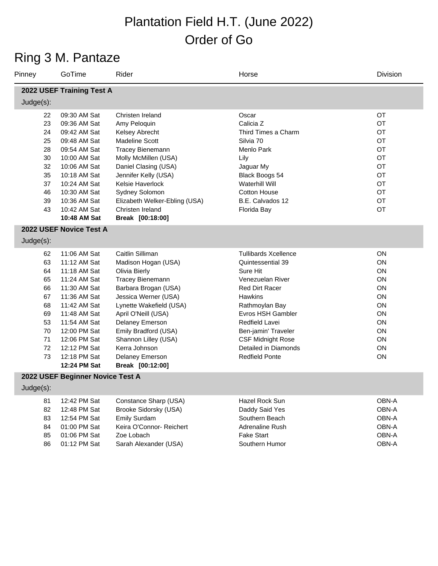## Ring 3 M. Pantaze

| Pinney                                                                     | GoTime                                                                                                                                                                                                                       | Rider                                                                                                                                                                                                                                                                                                     | Horse                                                                                                                                                                                                                                                                             | Division                                                                   |  |
|----------------------------------------------------------------------------|------------------------------------------------------------------------------------------------------------------------------------------------------------------------------------------------------------------------------|-----------------------------------------------------------------------------------------------------------------------------------------------------------------------------------------------------------------------------------------------------------------------------------------------------------|-----------------------------------------------------------------------------------------------------------------------------------------------------------------------------------------------------------------------------------------------------------------------------------|----------------------------------------------------------------------------|--|
| 2022 USEF Training Test A                                                  |                                                                                                                                                                                                                              |                                                                                                                                                                                                                                                                                                           |                                                                                                                                                                                                                                                                                   |                                                                            |  |
| $Judge(s)$ :                                                               |                                                                                                                                                                                                                              |                                                                                                                                                                                                                                                                                                           |                                                                                                                                                                                                                                                                                   |                                                                            |  |
| 22<br>23<br>24<br>25<br>28<br>30<br>32<br>35<br>37<br>46<br>39<br>43       | 09:30 AM Sat<br>09:36 AM Sat<br>09:42 AM Sat<br>09:48 AM Sat<br>09:54 AM Sat<br>10:00 AM Sat<br>10:06 AM Sat<br>10:18 AM Sat<br>10:24 AM Sat<br>10:30 AM Sat<br>10:36 AM Sat<br>10:42 AM Sat                                 | Christen Ireland<br>Amy Peloquin<br>Kelsey Abrecht<br>Madeline Scott<br><b>Tracey Bienemann</b><br>Molly McMillen (USA)<br>Daniel Clasing (USA)<br>Jennifer Kelly (USA)<br>Kelsie Haverlock<br>Sydney Solomon<br>Elizabeth Welker-Ebling (USA)<br>Christen Ireland                                        | Oscar<br>Calicia Z<br>Third Times a Charm<br>Silvia 70<br>Menlo Park<br>Lily<br>Jaguar My<br>Black Boogs 54<br><b>Waterhill Will</b><br><b>Cotton House</b><br>B.E. Calvados 12<br>Florida Bay                                                                                    | OT<br>OT<br>OT<br>OT<br>OT<br>OT<br>OT<br>OT<br>OT<br>OT<br>OT<br>OT       |  |
|                                                                            | 10:48 AM Sat<br>2022 USEF Novice Test A                                                                                                                                                                                      | Break [00:18:00]                                                                                                                                                                                                                                                                                          |                                                                                                                                                                                                                                                                                   |                                                                            |  |
| Judge(s):                                                                  |                                                                                                                                                                                                                              |                                                                                                                                                                                                                                                                                                           |                                                                                                                                                                                                                                                                                   |                                                                            |  |
| 62<br>63<br>64<br>65<br>66<br>67<br>68<br>69<br>53<br>70<br>71<br>72<br>73 | 11:06 AM Sat<br>11:12 AM Sat<br>11:18 AM Sat<br>11:24 AM Sat<br>11:30 AM Sat<br>11:36 AM Sat<br>11:42 AM Sat<br>11:48 AM Sat<br>11:54 AM Sat<br>12:00 PM Sat<br>12:06 PM Sat<br>12:12 PM Sat<br>12:18 PM Sat<br>12:24 PM Sat | Caitlin Silliman<br>Madison Hogan (USA)<br>Olivia Bierly<br>Tracey Bienemann<br>Barbara Brogan (USA)<br>Jessica Werner (USA)<br>Lynette Wakefield (USA)<br>April O'Neill (USA)<br>Delaney Emerson<br>Emily Bradford (USA)<br>Shannon Lilley (USA)<br>Kerra Johnson<br>Delaney Emerson<br>Break [00:12:00] | <b>Tullibards Xcellence</b><br>Quintessential 39<br>Sure Hit<br>Venezuelan River<br>Red Dirt Racer<br><b>Hawkins</b><br>Rathmoylan Bay<br>Evros HSH Gambler<br>Redfield Lavei<br>Ben-jamin' Traveler<br><b>CSF Midnight Rose</b><br>Detailed in Diamonds<br><b>Redfield Ponte</b> | ON<br>ON<br>ON<br>ON<br>ON<br>ON<br>ON<br>ON<br>ON<br>ON<br>ON<br>ON<br>ON |  |
| Judge(s):                                                                  | 2022 USEF Beginner Novice Test A                                                                                                                                                                                             |                                                                                                                                                                                                                                                                                                           |                                                                                                                                                                                                                                                                                   |                                                                            |  |
|                                                                            |                                                                                                                                                                                                                              | Constance Sharp (USA)                                                                                                                                                                                                                                                                                     |                                                                                                                                                                                                                                                                                   | OBN-A                                                                      |  |
| 81<br>82<br>83<br>84<br>85<br>86                                           | 12:42 PM Sat<br>12:48 PM Sat<br>12:54 PM Sat<br>01:00 PM Sat<br>01:06 PM Sat<br>01:12 PM Sat                                                                                                                                 | Brooke Sidorsky (USA)<br>Emily Surdam<br>Keira O'Connor- Reichert<br>Zoe Lobach<br>Sarah Alexander (USA)                                                                                                                                                                                                  | Hazel Rock Sun<br>Daddy Said Yes<br>Southern Beach<br><b>Adrenaline Rush</b><br><b>Fake Start</b><br>Southern Humor                                                                                                                                                               | OBN-A<br>OBN-A<br>OBN-A<br>OBN-A<br>OBN-A                                  |  |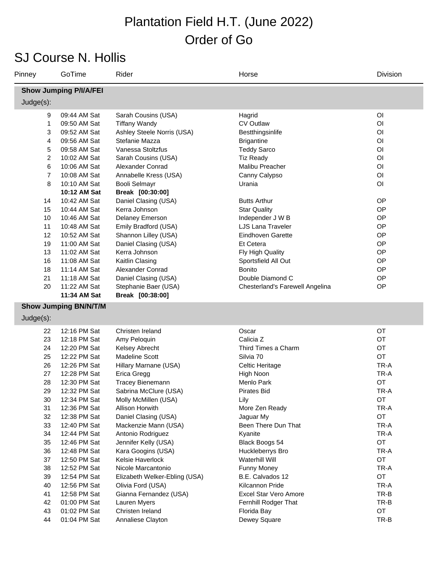#### SJ Course N. Hollis

| Pinney         | GoTime                        | Rider                         | Horse                           | Division       |
|----------------|-------------------------------|-------------------------------|---------------------------------|----------------|
|                | <b>Show Jumping P/I/A/FEI</b> |                               |                                 |                |
| Judge(s):      |                               |                               |                                 |                |
| 9              | 09:44 AM Sat                  | Sarah Cousins (USA)           | Hagrid                          | O <sub>l</sub> |
| 1              | 09:50 AM Sat                  | <b>Tiffany Wandy</b>          | <b>CV Outlaw</b>                | O <sub>l</sub> |
| 3              | 09:52 AM Sat                  | Ashley Steele Norris (USA)    | Bestthingsinlife                | O <sub>l</sub> |
| 4              | 09:56 AM Sat                  | Stefanie Mazza                | <b>Brigantine</b>               | O <sub>l</sub> |
| 5              | 09:58 AM Sat                  | Vanessa Stoltzfus             | <b>Teddy Sarco</b>              | O <sub>l</sub> |
| $\overline{c}$ | 10:02 AM Sat                  | Sarah Cousins (USA)           | <b>Tiz Ready</b>                | O <sub>l</sub> |
| 6              | 10:06 AM Sat                  | Alexander Conrad              | Malibu Preacher                 | O <sub>l</sub> |
| $\overline{7}$ | 10:08 AM Sat                  | Annabelle Kress (USA)         | Canny Calypso                   | O <sub>l</sub> |
| 8              | 10:10 AM Sat                  | <b>Booli Selmayr</b>          | Urania                          | O <sub>l</sub> |
|                | 10:12 AM Sat                  | Break [00:30:00]              |                                 |                |
| 14             | 10:42 AM Sat                  | Daniel Clasing (USA)          | <b>Butts Arthur</b>             | OP             |
| 15             | 10:44 AM Sat                  | Kerra Johnson                 | <b>Star Quality</b>             | OP             |
| 10             | 10:46 AM Sat                  | Delaney Emerson               | Independer J W B                | OP             |
| 11             | 10:48 AM Sat                  | Emily Bradford (USA)          | <b>LJS Lana Traveler</b>        | OP             |
| 12             | 10:52 AM Sat                  | Shannon Lilley (USA)          | Eindhoven Garette               | OP             |
| 19             | 11:00 AM Sat                  | Daniel Clasing (USA)          | Et Cetera                       | OP             |
| 13             | 11:02 AM Sat                  | Kerra Johnson                 | Fly High Quality                | OP             |
| 16             | 11:08 AM Sat                  | Kaitlin Clasing               | Sportsfield All Out             | OP             |
| 18             | 11:14 AM Sat                  | Alexander Conrad              | <b>Bonito</b>                   | OP             |
| 21             | 11:18 AM Sat                  | Daniel Clasing (USA)          | Double Diamond C                | OP             |
| 20             | 11:22 AM Sat                  | Stephanie Baer (USA)          | Chesterland's Farewell Angelina | OP             |
|                | 11:34 AM Sat                  | Break [00:38:00]              |                                 |                |
|                | <b>Show Jumping BN/N/T/M</b>  |                               |                                 |                |
| Judge(s):      |                               |                               |                                 |                |
| 22             | 12:16 PM Sat                  | Christen Ireland              | Oscar                           | OT             |
| 23             | 12:18 PM Sat                  | Amy Peloquin                  | Calicia Z                       | OT             |
| 24             | 12:20 PM Sat                  | Kelsey Abrecht                | Third Times a Charm             | OT             |
| 25             | 12:22 PM Sat                  | <b>Madeline Scott</b>         | Silvia 70                       | OT             |
| 26             | 12:26 PM Sat                  | Hillary Marnane (USA)         | Celtic Heritage                 | TR-A           |
| 27             | 12:28 PM Sat                  | Erica Gregg                   | High Noon                       | TR-A           |
| 28             | 12:30 PM Sat                  | <b>Tracey Bienemann</b>       | Menlo Park                      | OT             |
| 29             | 12:32 PM Sat                  | Sabrina McClure (USA)         | Pirates Bid                     | TR-A           |
| 30             | 12:34 PM Sat                  | Molly McMillen (USA)          | Lily                            | OT             |
| 31             | 12:36 PM Sat                  | Allison Horwith               | More Zen Ready                  | TR-A           |
| 32             | 12:38 PM Sat                  | Daniel Clasing (USA)          | Jaguar My                       | OT             |
| 33             | 12:40 PM Sat                  | Mackenzie Mann (USA)          | Been There Dun That             | TR-A           |
| 34             | 12:44 PM Sat                  | Antonio Rodriguez             | Kyanite                         | TR-A           |
| 35             | 12:46 PM Sat                  | Jennifer Kelly (USA)          | Black Boogs 54                  | OT             |
| 36             | 12:48 PM Sat                  | Kara Googins (USA)            | Huckleberrys Bro                | TR-A           |
| 37             | 12:50 PM Sat                  | Kelsie Haverlock              | Waterhill Will                  | OT             |
| 38             | 12:52 PM Sat                  | Nicole Marcantonio            | <b>Funny Money</b>              | TR-A           |
| 39             | 12:54 PM Sat                  | Elizabeth Welker-Ebling (USA) | B.E. Calvados 12                | OT             |
| 40             | 12:56 PM Sat                  | Olivia Ford (USA)             | Kilcannon Pride                 | TR-A           |
| 41             | 12:58 PM Sat                  | Gianna Fernandez (USA)        | Excel Star Vero Amore           | TR-B           |
| 42             | 01:00 PM Sat                  | Lauren Myers                  | Fernhill Rodger That            | TR-B           |
| 43             | 01:02 PM Sat                  | Christen Ireland              | Florida Bay                     | OT             |
| 44             | 01:04 PM Sat                  | Annaliese Clayton             | Dewey Square                    | TR-B           |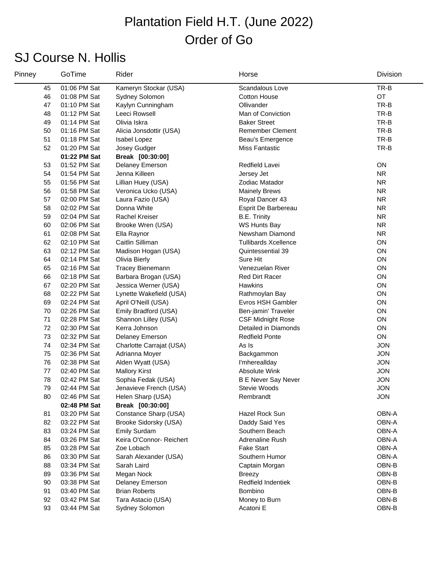### SJ Course N. Hollis

| Pinney | GoTime       | Rider                    | Horse                       | Division   |
|--------|--------------|--------------------------|-----------------------------|------------|
| 45     | 01:06 PM Sat | Kameryn Stockar (USA)    | Scandalous Love             | TR-B       |
| 46     | 01:08 PM Sat | Sydney Solomon           | <b>Cotton House</b>         | OT         |
| 47     | 01:10 PM Sat | Kaylyn Cunningham        | Ollivander                  | TR-B       |
| 48     | 01:12 PM Sat | Leeci Rowsell            | Man of Conviction           | TR-B       |
| 49     | 01:14 PM Sat | Olivia Iskra             | <b>Baker Street</b>         | TR-B       |
| 50     | 01:16 PM Sat | Alicia Jonsdottir (USA)  | <b>Remember Clement</b>     | TR-B       |
| 51     | 01:18 PM Sat | Isabel Lopez             | Beau's Emergence            | TR-B       |
| 52     | 01:20 PM Sat | Josey Gudger             | <b>Miss Fantastic</b>       | TR-B       |
|        | 01:22 PM Sat | Break [00:30:00]         |                             |            |
| 53     | 01:52 PM Sat | Delaney Emerson          | Redfield Lavei              | ON         |
| 54     | 01:54 PM Sat | Jenna Killeen            | Jersey Jet                  | <b>NR</b>  |
| 55     | 01:56 PM Sat | Lillian Huey (USA)       | Zodiac Matador              | <b>NR</b>  |
| 56     | 01:58 PM Sat | Veronica Ucko (USA)      | <b>Mainely Brews</b>        | <b>NR</b>  |
| 57     | 02:00 PM Sat | Laura Fazio (USA)        | Royal Dancer 43             | <b>NR</b>  |
| 58     | 02:02 PM Sat | Donna White              | Esprit De Barbereau         | <b>NR</b>  |
| 59     | 02:04 PM Sat | <b>Rachel Kreiser</b>    | <b>B.E. Trinity</b>         | <b>NR</b>  |
| 60     | 02:06 PM Sat | Brooke Wren (USA)        | <b>WS Hunts Bay</b>         | <b>NR</b>  |
| 61     | 02:08 PM Sat | Ella Raynor              | Newsham Diamond             | <b>NR</b>  |
| 62     | 02:10 PM Sat | Caitlin Silliman         | <b>Tullibards Xcellence</b> | ON         |
| 63     | 02:12 PM Sat | Madison Hogan (USA)      | Quintessential 39           | ON         |
| 64     | 02:14 PM Sat | Olivia Bierly            | Sure Hit                    | ON         |
| 65     | 02:16 PM Sat | Tracey Bienemann         | Venezuelan River            | ON         |
| 66     | 02:18 PM Sat | Barbara Brogan (USA)     | <b>Red Dirt Racer</b>       | ON         |
| 67     | 02:20 PM Sat | Jessica Werner (USA)     | Hawkins                     | ON         |
| 68     | 02:22 PM Sat | Lynette Wakefield (USA)  | Rathmoylan Bay              | ON         |
| 69     | 02:24 PM Sat | April O'Neill (USA)      | Evros HSH Gambler           | ON         |
| 70     | 02:26 PM Sat | Emily Bradford (USA)     | Ben-jamin' Traveler         | ON         |
| 71     | 02:28 PM Sat | Shannon Lilley (USA)     | <b>CSF Midnight Rose</b>    | ON         |
| 72     | 02:30 PM Sat | Kerra Johnson            | Detailed in Diamonds        | ON         |
| 73     | 02:32 PM Sat | Delaney Emerson          | <b>Redfield Ponte</b>       | ON         |
| 74     | 02:34 PM Sat | Charlotte Carrajat (USA) | As Is                       | <b>JON</b> |
| 75     | 02:36 PM Sat | Adrianna Moyer           | Backgammon                  | <b>JON</b> |
| 76     | 02:38 PM Sat | Alden Wyatt (USA)        | I'mhereallday               | <b>JON</b> |
| 77     | 02:40 PM Sat | <b>Mallory Kirst</b>     | <b>Absolute Wink</b>        | <b>JON</b> |
| 78     | 02:42 PM Sat | Sophia Fedak (USA)       | <b>B E Never Say Never</b>  | <b>JON</b> |
| 79     | 02:44 PM Sat | Jenavieve French (USA)   | Stevie Woods                | <b>JON</b> |
| 80     | 02:46 PM Sat | Helen Sharp (USA)        | Rembrandt                   | <b>JON</b> |
|        | 02:48 PM Sat | Break [00:30:00]         |                             |            |
| 81     | 03:20 PM Sat | Constance Sharp (USA)    | Hazel Rock Sun              | OBN-A      |
| 82     | 03:22 PM Sat | Brooke Sidorsky (USA)    | Daddy Said Yes              | OBN-A      |
| 83     | 03:24 PM Sat | <b>Emily Surdam</b>      | Southern Beach              | OBN-A      |
| 84     | 03:26 PM Sat | Keira O'Connor- Reichert | Adrenaline Rush             | OBN-A      |
| 85     | 03:28 PM Sat | Zoe Lobach               | <b>Fake Start</b>           | OBN-A      |
| 86     | 03:30 PM Sat | Sarah Alexander (USA)    | Southern Humor              | OBN-A      |
| 88     | 03:34 PM Sat | Sarah Laird              | Captain Morgan              | OBN-B      |
| 89     | 03:36 PM Sat | Megan Nock               | <b>Breezy</b>               | OBN-B      |
| 90     | 03:38 PM Sat | <b>Delaney Emerson</b>   | Redfield Indentiek          | OBN-B      |
| 91     | 03:40 PM Sat | <b>Brian Roberts</b>     | Bombino                     | OBN-B      |
| 92     | 03:42 PM Sat | Tara Astacio (USA)       | Money to Burn               | OBN-B      |
| 93     | 03:44 PM Sat | Sydney Solomon           | Acatoni E                   | OBN-B      |
|        |              |                          |                             |            |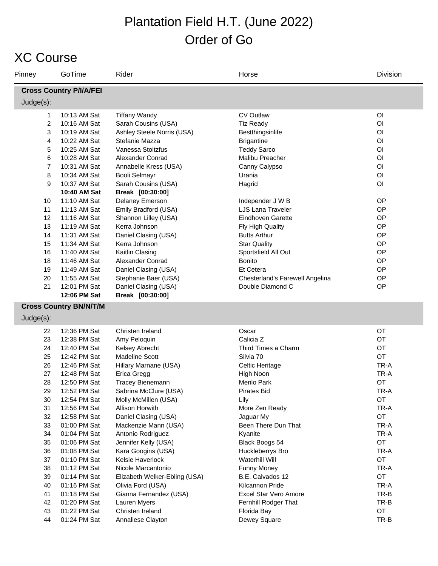#### XC Course

| Pinney         | GoTime                         | Rider                         | Horse                           | Division       |
|----------------|--------------------------------|-------------------------------|---------------------------------|----------------|
|                | <b>Cross Country P/I/A/FEI</b> |                               |                                 |                |
| Judge(s):      |                                |                               |                                 |                |
| 1              | 10:13 AM Sat                   | <b>Tiffany Wandy</b>          | <b>CV Outlaw</b>                | O <sub>l</sub> |
| $\overline{2}$ | 10:16 AM Sat                   | Sarah Cousins (USA)           | <b>Tiz Ready</b>                | O <sub>1</sub> |
| 3              | 10:19 AM Sat                   | Ashley Steele Norris (USA)    | Bestthingsinlife                | O <sub>l</sub> |
| 4              | 10:22 AM Sat                   | Stefanie Mazza                | <b>Brigantine</b>               | O <sub>l</sub> |
| 5              | 10:25 AM Sat                   | Vanessa Stoltzfus             | <b>Teddy Sarco</b>              | O <sub>l</sub> |
| 6              | 10:28 AM Sat                   | Alexander Conrad              | Malibu Preacher                 | O <sub>l</sub> |
| $\overline{7}$ | 10:31 AM Sat                   | Annabelle Kress (USA)         | Canny Calypso                   | O <sub>l</sub> |
| 8              | 10:34 AM Sat                   | <b>Booli Selmayr</b>          | Urania                          | O <sub>l</sub> |
| 9              | 10:37 AM Sat                   | Sarah Cousins (USA)           | Hagrid                          | O <sub>l</sub> |
|                | 10:40 AM Sat                   | Break [00:30:00]              |                                 |                |
| 10             | 11:10 AM Sat                   | Delaney Emerson               | Independer J W B                | OP             |
| 11             | 11:13 AM Sat                   | Emily Bradford (USA)          | LJS Lana Traveler               | OP             |
| 12             | 11:16 AM Sat                   | Shannon Lilley (USA)          | Eindhoven Garette               | OP             |
| 13             | 11:19 AM Sat                   | Kerra Johnson                 | Fly High Quality                | OP             |
| 14             | 11:31 AM Sat                   | Daniel Clasing (USA)          | <b>Butts Arthur</b>             | OP             |
| 15             | 11:34 AM Sat                   | Kerra Johnson                 | <b>Star Quality</b>             | OP             |
| 16             | 11:40 AM Sat                   | Kaitlin Clasing               | Sportsfield All Out             | OP             |
| 18             | 11:46 AM Sat                   | Alexander Conrad              | Bonito                          | OP             |
| 19             | 11:49 AM Sat                   | Daniel Clasing (USA)          | Et Cetera                       | OP             |
| 20             | 11:55 AM Sat                   | Stephanie Baer (USA)          | Chesterland's Farewell Angelina | OP             |
| 21             | 12:01 PM Sat                   | Daniel Clasing (USA)          | Double Diamond C                | OP             |
|                | 12:06 PM Sat                   | Break [00:30:00]              |                                 |                |
|                | <b>Cross Country BN/N/T/M</b>  |                               |                                 |                |
| Judge(s):      |                                |                               |                                 |                |
| 22             | 12:36 PM Sat                   | Christen Ireland              | Oscar                           | OT             |
| 23             | 12:38 PM Sat                   | Amy Peloquin                  | Calicia <sub>Z</sub>            | OT             |
| 24             | 12:40 PM Sat                   | Kelsey Abrecht                | Third Times a Charm             | OT             |
| 25             | 12:42 PM Sat                   | <b>Madeline Scott</b>         | Silvia 70                       | OT             |
| 26             | 12:46 PM Sat                   | Hillary Marnane (USA)         | Celtic Heritage                 | TR-A           |
| 27             | 12:48 PM Sat                   | Erica Gregg                   | High Noon                       | TR-A           |
| 28             | 12:50 PM Sat                   | <b>Tracey Bienemann</b>       | Menlo Park                      | OT             |
| 29             | 12:52 PM Sat                   | Sabrina McClure (USA)         | <b>Pirates Bid</b>              | TR-A           |
| 30             | 12:54 PM Sat                   | Molly McMillen (USA)          | Lily                            | OT             |
| 31             | 12:56 PM Sat                   | Allison Horwith               | More Zen Ready                  | TR-A           |
| 32             | 12:58 PM Sat                   | Daniel Clasing (USA)          | Jaguar My                       | OT             |
| 33             | 01:00 PM Sat                   | Mackenzie Mann (USA)          | Been There Dun That             | TR-A           |
| 34             | 01:04 PM Sat                   | Antonio Rodriguez             | Kyanite                         | TR-A           |
| 35             | 01:06 PM Sat                   | Jennifer Kelly (USA)          | Black Boogs 54                  | OT             |
| 36             | 01:08 PM Sat                   | Kara Googins (USA)            | Huckleberrys Bro                | TR-A           |
| 37             | 01:10 PM Sat                   | Kelsie Haverlock              | <b>Waterhill Will</b>           | OT             |
| 38             | 01:12 PM Sat                   | Nicole Marcantonio            | Funny Money                     | TR-A           |
| 39             | 01:14 PM Sat                   | Elizabeth Welker-Ebling (USA) | B.E. Calvados 12                | OT             |
| 40             | 01:16 PM Sat                   | Olivia Ford (USA)             | Kilcannon Pride                 | TR-A           |
| 41             | 01:18 PM Sat                   | Gianna Fernandez (USA)        | Excel Star Vero Amore           | TR-B           |
| 42             | 01:20 PM Sat                   | Lauren Myers                  | Fernhill Rodger That            | TR-B           |
| 43             | 01:22 PM Sat                   | Christen Ireland              | Florida Bay                     | OT             |
| 44             | 01:24 PM Sat                   | Annaliese Clayton             | Dewey Square                    | TR-B           |